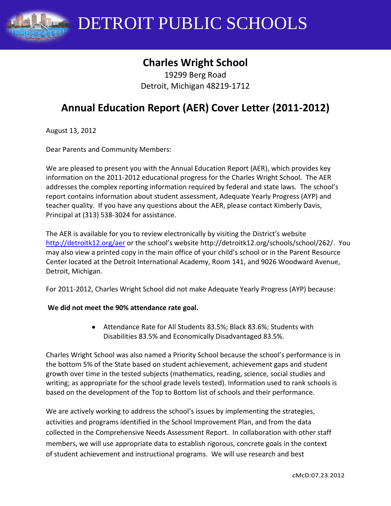

DETROIT PUBLIC SCHOOLS

## **Charles Wright School**

19299 Berg Road Detroit, Michigan 48219-1712

# **Annual Education Report (AER) Cover Letter (2011-2012)**

August 13, 2012

Dear Parents and Community Members:

We are pleased to present you with the Annual Education Report (AER), which provides key information on the 2011-2012 educational progress for the Charles Wright School. The AER addresses the complex reporting information required by federal and state laws. The school's report contains information about student assessment, Adequate Yearly Progress (AYP) and teacher quality. If you have any questions about the AER, please contact Kimberly Davis, Principal at (313) 538-3024 for assistance.

The AER is available for you to review electronically by visiting the District's website <http://detroitk12.org/aer> or the school's website http://detroitk12.org/schools/school/262/. You may also view a printed copy in the main office of your child's school or in the Parent Resource Center located at the Detroit International Academy, Room 141, and 9026 Woodward Avenue, Detroit, Michigan.

For 2011-2012, Charles Wright School did not make Adequate Yearly Progress (AYP) because:

#### **We did not meet the 90% attendance rate goal.**

Attendance Rate for All Students 83.5%; Black 83.6%; Students with Disabilities 83.5% and Economically Disadvantaged 83.5%.

Charles Wright School was also named a Priority School because the school's performance is in the bottom 5% of the State based on student achievement, achievement gaps and student growth over time in the tested subjects (mathematics, reading, science, social studies and writing; as appropriate for the school grade levels tested). Information used to rank schools is based on the development of the Top to Bottom list of schools and their performance.

We are actively working to address the school's issues by implementing the strategies, activities and programs identified in the School Improvement Plan, and from the data collected in the Comprehensive Needs Assessment Report. In collaboration with other staff members, we will use appropriate data to establish rigorous, concrete goals in the context of student achievement and instructional programs. We will use research and best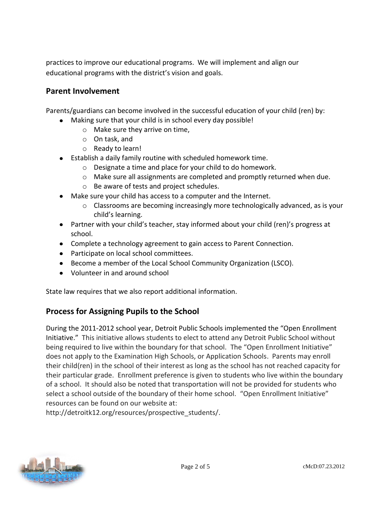practices to improve our educational programs. We will implement and align our educational programs with the district's vision and goals.

### **Parent Involvement**

Parents/guardians can become involved in the successful education of your child (ren) by:

- Making sure that your child is in school every day possible!
	- o Make sure they arrive on time,
	- o On task, and
	- o Ready to learn!
- Establish a daily family routine with scheduled homework time.
	- o Designate a time and place for your child to do homework.
	- $\circ$  Make sure all assignments are completed and promptly returned when due.
	- o Be aware of tests and project schedules.
- Make sure your child has access to a computer and the Internet.
	- $\circ$  Classrooms are becoming increasingly more technologically advanced, as is your child's learning.
- Partner with your child's teacher, stay informed about your child (ren)'s progress at school.
- Complete a technology agreement to gain access to Parent Connection.
- Participate on local school committees.
- Become a member of the Local School Community Organization (LSCO).
- Volunteer in and around school

State law requires that we also report additional information.

### **Process for Assigning Pupils to the School**

During the 2011-2012 school year, Detroit Public Schools implemented the "Open Enrollment Initiative." This initiative allows students to elect to attend any Detroit Public School without being required to live within the boundary for that school. The "Open Enrollment Initiative" does not apply to the Examination High Schools, or Application Schools. Parents may enroll their child(ren) in the school of their interest as long as the school has not reached capacity for their particular grade. Enrollment preference is given to students who live within the boundary of a school. It should also be noted that transportation will not be provided for students who select a school outside of the boundary of their home school. "Open Enrollment Initiative" resources can be found on our website at:

http://detroitk12.org/resources/prospective\_students/.

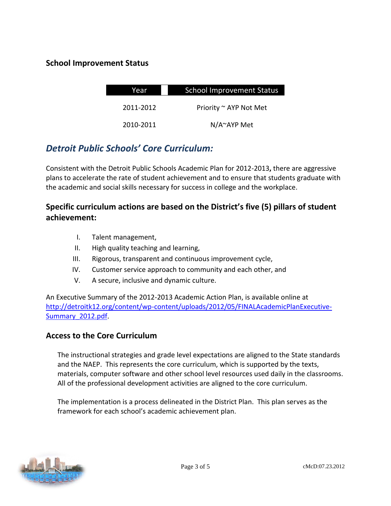### **School Improvement Status**

| Year      | <b>School Improvement Status</b> |  |
|-----------|----------------------------------|--|
| 2011-2012 | Priority ~ AYP Not Met           |  |
| 2010-2011 | $N/A^{\sim}AYP$ Met              |  |

### *Detroit Public Schools' Core Curriculum:*

Consistent with the Detroit Public Schools Academic Plan for 2012-2013**,** there are aggressive plans to accelerate the rate of student achievement and to ensure that students graduate with the academic and social skills necessary for success in college and the workplace.

### **Specific curriculum actions are based on the District's five (5) pillars of student achievement:**

- I. Talent management,
- II. High quality teaching and learning,
- III. Rigorous, transparent and continuous improvement cycle,
- IV. Customer service approach to community and each other, and
- V. A secure, inclusive and dynamic culture.

An Executive Summary of the 2012-2013 Academic Action Plan, is available online at [http://detroitk12.org/content/wp-content/uploads/2012/05/FINALAcademicPlanExecutive-](http://detroitk12.org/content/wp-content/uploads/2012/05/FINALAcademicPlanExecutive-Summary_2012.pdf)[Summary\\_2012.pdf](http://detroitk12.org/content/wp-content/uploads/2012/05/FINALAcademicPlanExecutive-Summary_2012.pdf).

#### **Access to the Core Curriculum**

The instructional strategies and grade level expectations are aligned to the State standards and the NAEP. This represents the core curriculum, which is supported by the texts, materials, computer software and other school level resources used daily in the classrooms. All of the professional development activities are aligned to the core curriculum.

The implementation is a process delineated in the District Plan. This plan serves as the framework for each school's academic achievement plan.

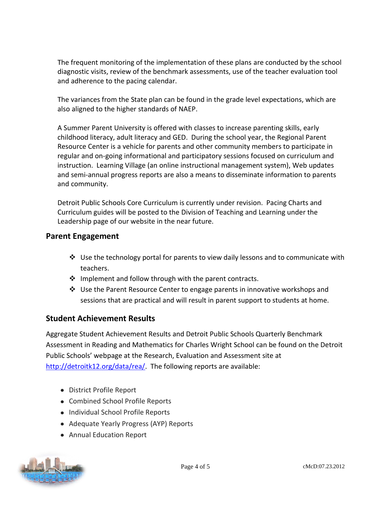The frequent monitoring of the implementation of these plans are conducted by the school diagnostic visits, review of the benchmark assessments, use of the teacher evaluation tool and adherence to the pacing calendar.

The variances from the State plan can be found in the grade level expectations, which are also aligned to the higher standards of NAEP.

A Summer Parent University is offered with classes to increase parenting skills, early childhood literacy, adult literacy and GED. During the school year, the Regional Parent Resource Center is a vehicle for parents and other community members to participate in regular and on-going informational and participatory sessions focused on curriculum and instruction. Learning Village (an online instructional management system), Web updates and semi-annual progress reports are also a means to disseminate information to parents and community.

Detroit Public Schools Core Curriculum is currently under revision. Pacing Charts and Curriculum guides will be posted to the Division of Teaching and Learning under the Leadership page of our website in the near future.

### **Parent Engagement**

- $\div$  Use the technology portal for parents to view daily lessons and to communicate with teachers.
- ❖ Implement and follow through with the parent contracts.
- $\clubsuit$  Use the Parent Resource Center to engage parents in innovative workshops and sessions that are practical and will result in parent support to students at home.

### **Student Achievement Results**

Aggregate Student Achievement Results and Detroit Public Schools Quarterly Benchmark Assessment in Reading and Mathematics for Charles Wright School can be found on the Detroit Public Schools' webpage at the Research, Evaluation and Assessment site at [http://detroitk12.org/data/rea/.](http://detroitk12.org/data/rea/) The following reports are available:

- District Profile Report
- Combined School Profile Reports
- Individual School Profile Reports
- Adequate Yearly Progress (AYP) Reports
- Annual Education Report